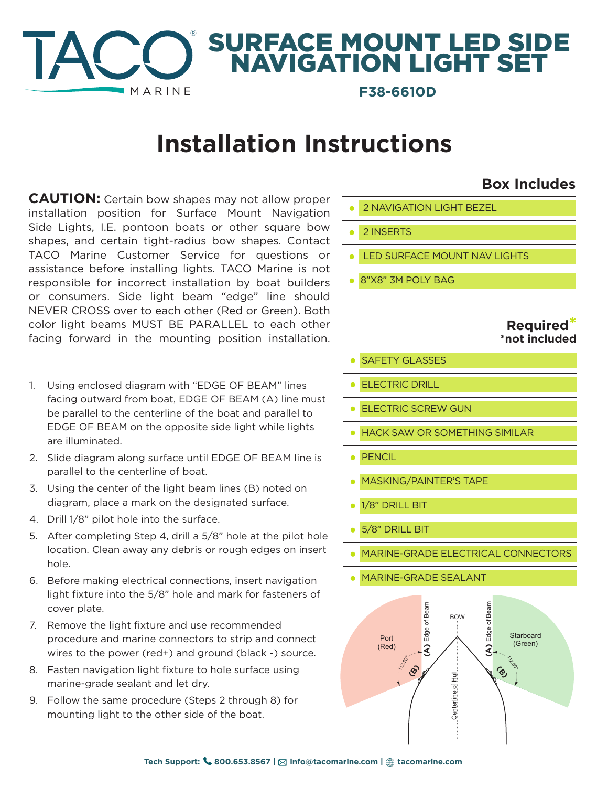#### ® SURFACE MOUNT LED SIDE NAVIGATION LIGHT SET **MARINE F38-6610D**

# **Installation Instructions**

**CAUTION:** Certain bow shapes may not allow proper installation position for Surface Mount Navigation Side Lights, I.E. pontoon boats or other square bow shapes, and certain tight-radius bow shapes. Contact TACO Marine Customer Service for questions or assistance before installing lights. TACO Marine is not responsible for incorrect installation by boat builders or consumers. Side light beam "edge" line should NEVER CROSS over to each other (Red or Green). Both color light beams MUST BE PARALLEL to each other facing forward in the mounting position installation.

- 1. Using enclosed diagram with "EDGE OF BEAM" lines facing outward from boat, EDGE OF BEAM (A) line must be parallel to the centerline of the boat and parallel to EDGE OF BEAM on the opposite side light while lights are illuminated.
- 2. Slide diagram along surface until EDGE OF BEAM line is parallel to the centerline of boat.
- 3. Using the center of the light beam lines (B) noted on diagram, place a mark on the designated surface.
- 4. Drill 1/8" pilot hole into the surface.
- 5. After completing Step 4, drill a 5/8" hole at the pilot hole location. Clean away any debris or rough edges on insert hole.
- 6. Before making electrical connections, insert navigation light fixture into the 5/8" hole and mark for fasteners of cover plate.
- 7. Remove the light fixture and use recommended procedure and marine connectors to strip and connect wires to the power (red+) and ground (black -) source.
- 8. Fasten navigation light fixture to hole surface using marine-grade sealant and let dry.
- 9. Follow the same procedure (Steps 2 through 8) for mounting light to the other side of the boat.
- **•** 2 NAVIGATION LIGHT BEZEL
- **•** 2 INSERTS
- **•** LED SURFACE MOUNT NAV LIGHTS
- **•** 8"X8" 3M POLY BAG

#### **Required \*not included**

**Box Includes**

- **•** SAFETY GLASSES
- **•** ELECTRIC DRILL
- **•** ELECTRIC SCREW GUN
- **•** HACK SAW OR SOMETHING SIMILAR
- **•** PENCIL
- **•** MASKING/PAINTER'S TAPE
- **•** 1/8" DRILL BIT
- **•** 5/8" DRILL BIT
- **•** MARINE-GRADE ELECTRICAL CONNECTORS
- **•** MARINE-GRADE SEALANT